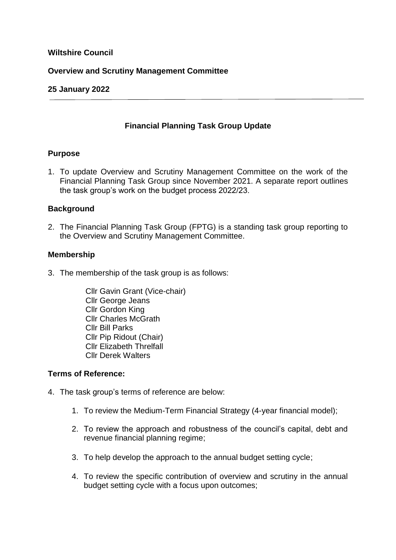## **Wiltshire Council**

## **Overview and Scrutiny Management Committee**

### **25 January 2022**

## **Financial Planning Task Group Update**

### **Purpose**

1. To update Overview and Scrutiny Management Committee on the work of the Financial Planning Task Group since November 2021. A separate report outlines the task group's work on the budget process 2022/23.

### **Background**

2. The Financial Planning Task Group (FPTG) is a standing task group reporting to the Overview and Scrutiny Management Committee.

#### **Membership**

- 3. The membership of the task group is as follows:
	- Cllr Gavin Grant (Vice-chair) Cllr George Jeans Cllr Gordon King Cllr Charles McGrath Cllr Bill Parks Cllr Pip Ridout (Chair) Cllr Elizabeth Threlfall Cllr Derek Walters

#### **Terms of Reference:**

- 4. The task group's terms of reference are below:
	- 1. To review the Medium-Term Financial Strategy (4-year financial model);
	- 2. To review the approach and robustness of the council's capital, debt and revenue financial planning regime;
	- 3. To help develop the approach to the annual budget setting cycle;
	- 4. To review the specific contribution of overview and scrutiny in the annual budget setting cycle with a focus upon outcomes;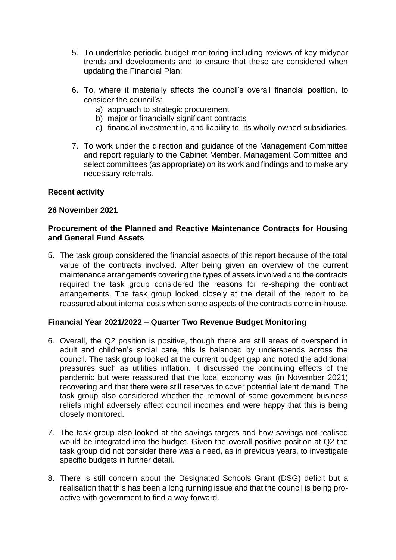- 5. To undertake periodic budget monitoring including reviews of key midyear trends and developments and to ensure that these are considered when updating the Financial Plan;
- 6. To, where it materially affects the council's overall financial position, to consider the council's:
	- a) approach to strategic procurement
	- b) major or financially significant contracts
	- c) financial investment in, and liability to, its wholly owned subsidiaries.
- 7. To work under the direction and guidance of the Management Committee and report regularly to the Cabinet Member, Management Committee and select committees (as appropriate) on its work and findings and to make any necessary referrals.

## **Recent activity**

### **26 November 2021**

## **Procurement of the Planned and Reactive Maintenance Contracts for Housing and General Fund Assets**

5. The task group considered the financial aspects of this report because of the total value of the contracts involved. After being given an overview of the current maintenance arrangements covering the types of assets involved and the contracts required the task group considered the reasons for re-shaping the contract arrangements. The task group looked closely at the detail of the report to be reassured about internal costs when some aspects of the contracts come in-house.

## **Financial Year 2021/2022 – Quarter Two Revenue Budget Monitoring**

- 6. Overall, the Q2 position is positive, though there are still areas of overspend in adult and children's social care, this is balanced by underspends across the council. The task group looked at the current budget gap and noted the additional pressures such as utilities inflation. It discussed the continuing effects of the pandemic but were reassured that the local economy was (in November 2021) recovering and that there were still reserves to cover potential latent demand. The task group also considered whether the removal of some government business reliefs might adversely affect council incomes and were happy that this is being closely monitored.
- 7. The task group also looked at the savings targets and how savings not realised would be integrated into the budget. Given the overall positive position at Q2 the task group did not consider there was a need, as in previous years, to investigate specific budgets in further detail.
- 8. There is still concern about the Designated Schools Grant (DSG) deficit but a realisation that this has been a long running issue and that the council is being proactive with government to find a way forward.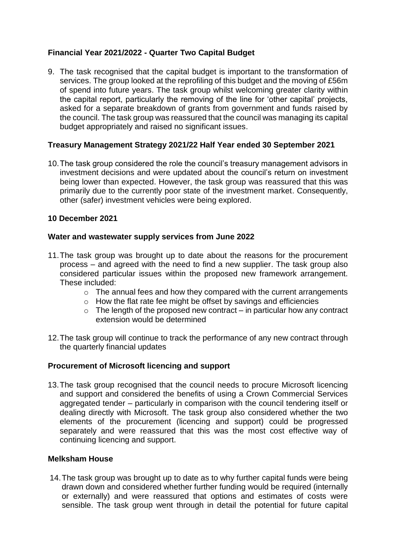# **Financial Year 2021/2022 - Quarter Two Capital Budget**

9. The task recognised that the capital budget is important to the transformation of services. The group looked at the reprofiling of this budget and the moving of £56m of spend into future years. The task group whilst welcoming greater clarity within the capital report, particularly the removing of the line for 'other capital' projects, asked for a separate breakdown of grants from government and funds raised by the council. The task group was reassured that the council was managing its capital budget appropriately and raised no significant issues.

## **Treasury Management Strategy 2021/22 Half Year ended 30 September 2021**

10.The task group considered the role the council's treasury management advisors in investment decisions and were updated about the council's return on investment being lower than expected. However, the task group was reassured that this was primarily due to the currently poor state of the investment market. Consequently, other (safer) investment vehicles were being explored.

## **10 December 2021**

## **Water and wastewater supply services from June 2022**

- 11.The task group was brought up to date about the reasons for the procurement process – and agreed with the need to find a new supplier. The task group also considered particular issues within the proposed new framework arrangement. These included:
	- o The annual fees and how they compared with the current arrangements
	- $\circ$  How the flat rate fee might be offset by savings and efficiencies
	- $\circ$  The length of the proposed new contract in particular how any contract extension would be determined
- 12.The task group will continue to track the performance of any new contract through the quarterly financial updates

## **Procurement of Microsoft licencing and support**

13.The task group recognised that the council needs to procure Microsoft licencing and support and considered the benefits of using a Crown Commercial Services aggregated tender – particularly in comparison with the council tendering itself or dealing directly with Microsoft. The task group also considered whether the two elements of the procurement (licencing and support) could be progressed separately and were reassured that this was the most cost effective way of continuing licencing and support.

## **Melksham House**

14.The task group was brought up to date as to why further capital funds were being drawn down and considered whether further funding would be required (internally or externally) and were reassured that options and estimates of costs were sensible. The task group went through in detail the potential for future capital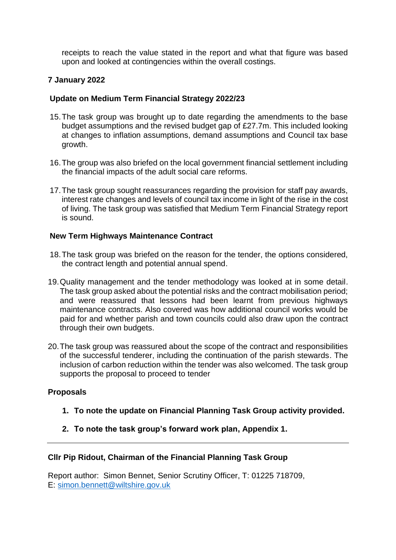receipts to reach the value stated in the report and what that figure was based upon and looked at contingencies within the overall costings.

# **7 January 2022**

# **Update on Medium Term Financial Strategy 2022/23**

- 15.The task group was brought up to date regarding the amendments to the base budget assumptions and the revised budget gap of £27.7m. This included looking at changes to inflation assumptions, demand assumptions and Council tax base growth.
- 16.The group was also briefed on the local government financial settlement including the financial impacts of the adult social care reforms.
- 17.The task group sought reassurances regarding the provision for staff pay awards, interest rate changes and levels of council tax income in light of the rise in the cost of living. The task group was satisfied that Medium Term Financial Strategy report is sound.

# **New Term Highways Maintenance Contract**

- 18.The task group was briefed on the reason for the tender, the options considered, the contract length and potential annual spend.
- 19.Quality management and the tender methodology was looked at in some detail. The task group asked about the potential risks and the contract mobilisation period; and were reassured that lessons had been learnt from previous highways maintenance contracts. Also covered was how additional council works would be paid for and whether parish and town councils could also draw upon the contract through their own budgets.
- 20.The task group was reassured about the scope of the contract and responsibilities of the successful tenderer, including the continuation of the parish stewards. The inclusion of carbon reduction within the tender was also welcomed. The task group supports the proposal to proceed to tender

# **Proposals**

- **1. To note the update on Financial Planning Task Group activity provided.**
- **2. To note the task group's forward work plan, Appendix 1.**

# **Cllr Pip Ridout, Chairman of the Financial Planning Task Group**

Report author: Simon Bennet, Senior Scrutiny Officer, T: 01225 718709, E: [simon.bennett@wiltshire.gov.uk](mailto:simon.bennett@wiltshire.gov.uk)